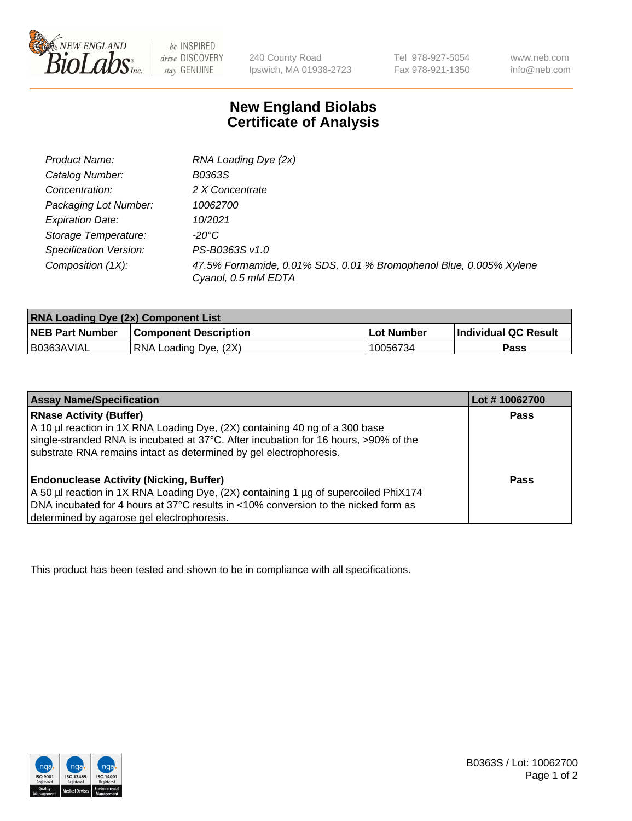

 $be$  INSPIRED drive DISCOVERY stay GENUINE

240 County Road Ipswich, MA 01938-2723 Tel 978-927-5054 Fax 978-921-1350 www.neb.com info@neb.com

## **New England Biolabs Certificate of Analysis**

| RNA Loading Dye (2x)                                                                      |
|-------------------------------------------------------------------------------------------|
| B0363S                                                                                    |
| 2 X Concentrate                                                                           |
| 10062700                                                                                  |
| 10/2021                                                                                   |
| -20°C                                                                                     |
| PS-B0363S v1.0                                                                            |
| 47.5% Formamide, 0.01% SDS, 0.01 % Bromophenol Blue, 0.005% Xylene<br>Cyanol, 0.5 mM EDTA |
|                                                                                           |

| <b>RNA Loading Dye (2x) Component List</b> |                              |            |                             |  |
|--------------------------------------------|------------------------------|------------|-----------------------------|--|
| <b>NEB Part Number</b>                     | <b>Component Description</b> | Lot Number | <b>Individual QC Result</b> |  |
| B0363AVIAL                                 | RNA Loading Dye, (2X)        | 10056734   | Pass                        |  |

| <b>Assay Name/Specification</b>                                                                                                                                                                                                                                                                   | Lot #10062700 |
|---------------------------------------------------------------------------------------------------------------------------------------------------------------------------------------------------------------------------------------------------------------------------------------------------|---------------|
| <b>RNase Activity (Buffer)</b><br>A 10 µl reaction in 1X RNA Loading Dye, (2X) containing 40 ng of a 300 base<br>single-stranded RNA is incubated at 37°C. After incubation for 16 hours, >90% of the                                                                                             | <b>Pass</b>   |
| substrate RNA remains intact as determined by gel electrophoresis.<br><b>Endonuclease Activity (Nicking, Buffer)</b><br>A 50 µl reaction in 1X RNA Loading Dye, (2X) containing 1 µg of supercoiled PhiX174<br>DNA incubated for 4 hours at 37°C results in <10% conversion to the nicked form as | Pass          |
| determined by agarose gel electrophoresis.                                                                                                                                                                                                                                                        |               |

This product has been tested and shown to be in compliance with all specifications.